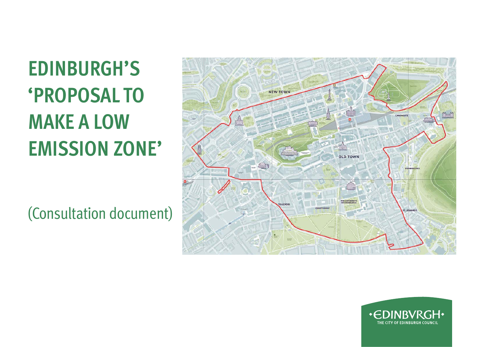# **EDINBURGH'S 'PROPOSAL TO MAKE A LOW EMISSION ZONE'**

(Consultation document)



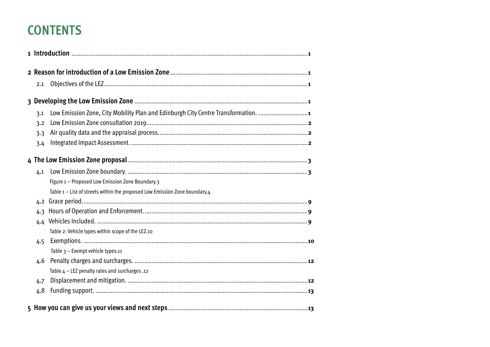## **CONTENTS**

| 2.1<br>3.1<br>3.2<br>3.3<br>3.4<br>4.1<br>Figure 1 - Proposed Low Emission Zone Boundary.3<br>Table 1 - List of streets within the proposed Low Emission Zone boundary.4<br>4.2<br>4.3<br>4.4<br>Table 2: Vehicle types within scope of the LEZ.10<br>4.5<br>Table 3 - Exempt vehicle types.11<br>4.6<br>Table $4$ – LEZ penalty rates and surcharges .12<br>4.7<br>4.8 |  |                                                                                   |
|-------------------------------------------------------------------------------------------------------------------------------------------------------------------------------------------------------------------------------------------------------------------------------------------------------------------------------------------------------------------------|--|-----------------------------------------------------------------------------------|
|                                                                                                                                                                                                                                                                                                                                                                         |  |                                                                                   |
|                                                                                                                                                                                                                                                                                                                                                                         |  |                                                                                   |
|                                                                                                                                                                                                                                                                                                                                                                         |  |                                                                                   |
|                                                                                                                                                                                                                                                                                                                                                                         |  | Low Emission Zone, City Mobility Plan and Edinburgh City Centre Transformation. 1 |
|                                                                                                                                                                                                                                                                                                                                                                         |  |                                                                                   |
|                                                                                                                                                                                                                                                                                                                                                                         |  |                                                                                   |
|                                                                                                                                                                                                                                                                                                                                                                         |  |                                                                                   |
|                                                                                                                                                                                                                                                                                                                                                                         |  |                                                                                   |
|                                                                                                                                                                                                                                                                                                                                                                         |  |                                                                                   |
|                                                                                                                                                                                                                                                                                                                                                                         |  |                                                                                   |
|                                                                                                                                                                                                                                                                                                                                                                         |  |                                                                                   |
|                                                                                                                                                                                                                                                                                                                                                                         |  |                                                                                   |
|                                                                                                                                                                                                                                                                                                                                                                         |  |                                                                                   |
|                                                                                                                                                                                                                                                                                                                                                                         |  |                                                                                   |
|                                                                                                                                                                                                                                                                                                                                                                         |  |                                                                                   |
|                                                                                                                                                                                                                                                                                                                                                                         |  |                                                                                   |
|                                                                                                                                                                                                                                                                                                                                                                         |  |                                                                                   |
|                                                                                                                                                                                                                                                                                                                                                                         |  |                                                                                   |
|                                                                                                                                                                                                                                                                                                                                                                         |  |                                                                                   |
|                                                                                                                                                                                                                                                                                                                                                                         |  |                                                                                   |
|                                                                                                                                                                                                                                                                                                                                                                         |  |                                                                                   |
|                                                                                                                                                                                                                                                                                                                                                                         |  |                                                                                   |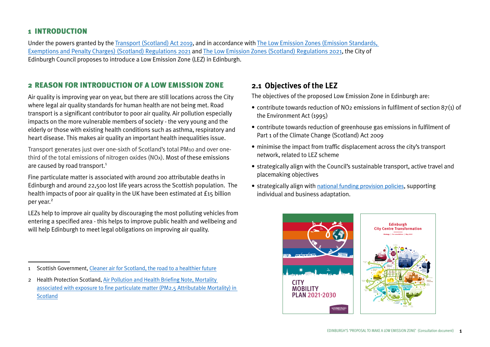#### <span id="page-2-0"></span>1 INTRODUCTION

Under the powers granted by the [Transport \(Scotland\) Act 2019,](https://www.legislation.gov.uk/asp/2019/17/enacted) and in accordance with [The Low Emission Zones \(Emission Standards,](https://www.legislation.gov.uk/ssi/2021/177/contents/made)  [Exemptions and Penalty Charges\) \(Scotland\) Regulations 2021](https://www.legislation.gov.uk/ssi/2021/177/contents/made) and [The Low Emission Zones \(Scotland\) Regulations 2021](https://www.legislation.gov.uk/ssi/2021/26/contents/made), the City of Edinburgh Council proposes to introduce a Low Emission Zone (LEZ) in Edinburgh.

#### 2 REASON FOR INTRODUCTION OF A LOW EMISSION ZONE

Air quality is improving year on year, but there are still locations across the City where legal air quality standards for human health are not being met. Road transport is a significant contributor to poor air quality. Air pollution especially impacts on the more vulnerable members of society - the very young and the elderly or those with existing health conditions such as asthma, respiratory and heart disease. This makes air quality an important health inequalities issue.

Transport generates just over one-sixth of Scotland's total PM10 and over onethird of the total emissions of nitrogen oxides (NOx). Most of these emissions are caused by road transport.<sup>1</sup>

Fine particulate matter is associated with around 200 attributable deaths in Edinburgh and around 22,500 lost life years across the Scottish population. The health impacts of poor air quality in the UK have been estimated at £15 billion per year.<sup>2</sup>

LEZs help to improve air quality by discouraging the most polluting vehicles from entering a specified area - this helps to improve public health and wellbeing and will help Edinburgh to meet legal obligations on improving air quality.

#### **2.1 Objectives of the LEZ**

The objectives of the proposed Low Emission Zone in Edinburgh are:

- contribute towards reduction of NO2 emissions in fulfilment of section 87(1) of the Environment Act (1995)
- contribute towards reduction of greenhouse gas emissions in fulfilment of Part 1 of the Climate Change (Scotland) Act 2009
- minimise the impact from traffic displacement across the city's transport network, related to LEZ scheme
- strategically align with the Council's sustainable transport, active travel and placemaking objectives
- strategically align with [national funding provision policies](https://www.lowemissionzones.scot/funding), supporting individual and business adaptation.



<sup>1</sup> Scottish Government, [Cleaner air for Scotland, the road to a healthier future](https://www.gov.scot/publications/cleaner-air-scotland-road-healthier-future/)

<sup>2</sup> Health Protection Scotland, [Air Pollution and Health Briefing Note, Mortality](https://www.hps.scot.nhs.uk/web-resources-container/air-pollution-and-health-briefing-note-mortality-associated-with-exposure-to-fine-particulate-matter-pm25-attributable-mortality-in-scotland/)  [associated with exposure to fine particulate matter \(PM2.5 Attributable Mortality\) in](https://www.hps.scot.nhs.uk/web-resources-container/air-pollution-and-health-briefing-note-mortality-associated-with-exposure-to-fine-particulate-matter-pm25-attributable-mortality-in-scotland/)  **[Scotland](https://www.hps.scot.nhs.uk/web-resources-container/air-pollution-and-health-briefing-note-mortality-associated-with-exposure-to-fine-particulate-matter-pm25-attributable-mortality-in-scotland/)**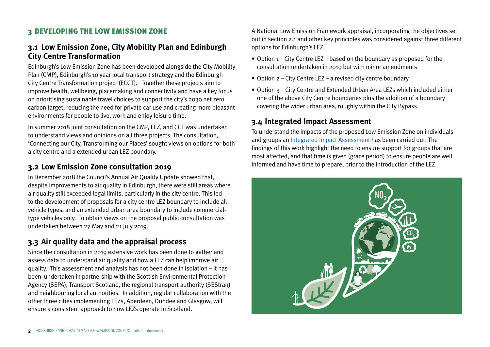## <span id="page-3-0"></span>3 DEVELOPING THE LOW EMISSION ZONE

## **3.1 Low Emission Zone, City Mobility Plan and Edinburgh City Centre Transformation**

Edinburgh's Low Emission Zone has been developed alongside the City Mobility Plan (CMP), Edinburgh's 10 year local transport strategy and the Edinburgh City Centre Transformation project (ECCT). Together these projects aim to improve health, wellbeing, placemaking and connectivity and have a key focus on prioritising sustainable travel choices to support the city's 2030 net zero carbon target, reducing the need for private car use and creating more pleasant environments for people to live, work and enjoy leisure time.

In summer 2018 joint consultation on the CMP, LEZ, and CCT was undertaken to understand views and opinions on all three projects. The consultation, 'Connecting our City, Transforming our Places' sought views on options for both a city centre and a extended urban LEZ boundary.

## **3.2 Low Emission Zone consultation 2019**

In December 2018 the Council's Annual Air Quality Update showed that, despite improvements to air quality in Edinburgh, there were still areas where air quality still exceeded legal limits, particularly in the city centre. This led to the development of proposals for a city centre LEZ boundary to include all vehicle types, and an extended urban area boundary to include commercialtype vehicles only. To obtain views on the proposal public consultation was undertaken between 27 May and 21 July 2019.

## **3.3 Air quality data and the appraisal process**

Since the consultation in 2019 extensive work has been done to gather and assess data to understand air quality and how a LEZ can help improve air quality. This assessment and analysis has not been done in isolation – it has been undertaken in partnership with the Scottish Environmental Protection Agency (SEPA), Transport Scotland, the regional transport authority (SEStran) and neighbouring local authorities. In addition, regular collaboration with the other three cities implementing LEZs, Aberdeen, Dundee and Glasgow, will ensure a consistent approach to how LEZs operate in Scotland.

A National Low Emission Framework appraisal, incorporating the objectives set out in section 2.1 and other key principles was considered against three different options for Edinburgh's LEZ:

- Option 1 City Centre LEZ based on the boundary as proposed for the consultation undertaken in 2019 but with minor amendments
- Option 2 City Centre LEZ a revised city centre boundary
- Option 3 City Centre and Extended Urban Area LEZs which included either one of the above City Centre boundaries plus the addition of a boundary covering the wider urban area, roughly within the City Bypass.

## **3.4 Integrated Impact Assessment**

To understand the impacts of the proposed Low Emission Zone on individuals and groups an [Integrated Impact Assessment](https://www.edinburgh.gov.uk/impactassessments) has been carried out. The findings of this work highlight the need to ensure support for groups that are most affected, and that time is given (grace period) to ensure people are well informed and have time to prepare, prior to the introduction of the LEZ.

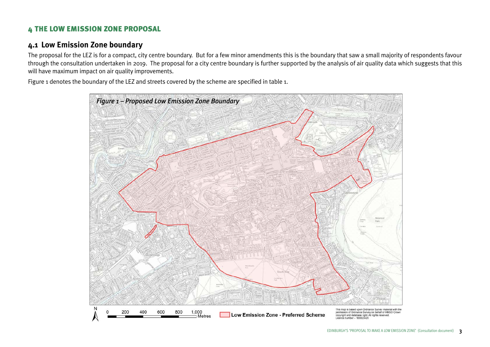## <span id="page-4-0"></span>4 THE LOW EMISSION ZONE PROPOSAL

#### **4.1 Low Emission Zone boundary**

The proposal for the LEZ is for a compact, city centre boundary. But for a few minor amendments this is the boundary that saw a small majority of respondents favour through the consultation undertaken in 2019. The proposal for a city centre boundary is further supported by the analysis of air quality data which suggests that this will have maximum impact on air quality improvements.

Figure 1 denotes the boundary of the LEZ and streets covered by the scheme are specified in table 1.

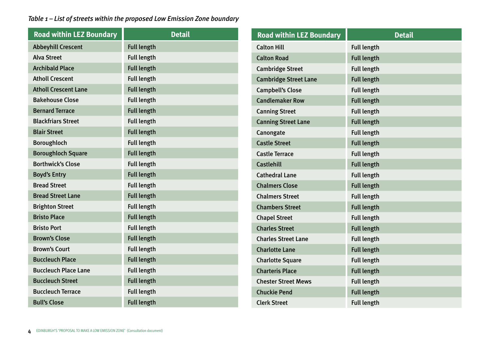#### <span id="page-5-0"></span>*Table 1 – List of streets within the proposed Low Emission Zone boundary*

| <b>Road within LEZ Boundary</b> | <b>Detail</b>      |
|---------------------------------|--------------------|
| <b>Abbeyhill Crescent</b>       | <b>Full length</b> |
| <b>Alva Street</b>              | <b>Full length</b> |
| <b>Archibald Place</b>          | <b>Full length</b> |
| <b>Atholl Crescent</b>          | <b>Full length</b> |
| <b>Atholl Crescent Lane</b>     | <b>Full length</b> |
| <b>Bakehouse Close</b>          | <b>Full length</b> |
| <b>Bernard Terrace</b>          | <b>Full length</b> |
| <b>Blackfriars Street</b>       | <b>Full length</b> |
| <b>Blair Street</b>             | <b>Full length</b> |
| <b>Boroughloch</b>              | <b>Full length</b> |
| <b>Boroughloch Square</b>       | <b>Full length</b> |
| <b>Borthwick's Close</b>        | <b>Full length</b> |
| <b>Boyd's Entry</b>             | <b>Full length</b> |
| <b>Bread Street</b>             | <b>Full length</b> |
| <b>Bread Street Lane</b>        | <b>Full length</b> |
| <b>Brighton Street</b>          | <b>Full length</b> |
| <b>Bristo Place</b>             | <b>Full length</b> |
| <b>Bristo Port</b>              | <b>Full length</b> |
| <b>Brown's Close</b>            | <b>Full length</b> |
| <b>Brown's Court</b>            | <b>Full length</b> |
| <b>Buccleuch Place</b>          | <b>Full length</b> |
| <b>Buccleuch Place Lane</b>     | <b>Full length</b> |
| <b>Buccleuch Street</b>         | <b>Full length</b> |
| <b>Buccleuch Terrace</b>        | <b>Full length</b> |
| <b>Bull's Close</b>             | <b>Full length</b> |

| <b>Road within LEZ Boundary</b> | <b>Detail</b>      |
|---------------------------------|--------------------|
| <b>Calton Hill</b>              | <b>Full length</b> |
| <b>Calton Road</b>              | <b>Full length</b> |
| <b>Cambridge Street</b>         | <b>Full length</b> |
| <b>Cambridge Street Lane</b>    | <b>Full length</b> |
| <b>Campbell's Close</b>         | <b>Full length</b> |
| <b>Candlemaker Row</b>          | <b>Full length</b> |
| <b>Canning Street</b>           | <b>Full length</b> |
| <b>Canning Street Lane</b>      | <b>Full length</b> |
| Canongate                       | <b>Full length</b> |
| <b>Castle Street</b>            | <b>Full length</b> |
| <b>Castle Terrace</b>           | <b>Full length</b> |
| <b>Castlehill</b>               | <b>Full length</b> |
| <b>Cathedral Lane</b>           | <b>Full length</b> |
| <b>Chalmers Close</b>           | <b>Full length</b> |
| <b>Chalmers Street</b>          | <b>Full length</b> |
| <b>Chambers Street</b>          | <b>Full length</b> |
| <b>Chapel Street</b>            | <b>Full length</b> |
| <b>Charles Street</b>           | <b>Full length</b> |
| <b>Charles Street Lane</b>      | <b>Full length</b> |
| <b>Charlotte Lane</b>           | <b>Full length</b> |
| <b>Charlotte Square</b>         | <b>Full length</b> |
| <b>Charteris Place</b>          | <b>Full length</b> |
| <b>Chester Street Mews</b>      | <b>Full length</b> |
| <b>Chuckie Pend</b>             | <b>Full length</b> |
| <b>Clerk Street</b>             | <b>Full length</b> |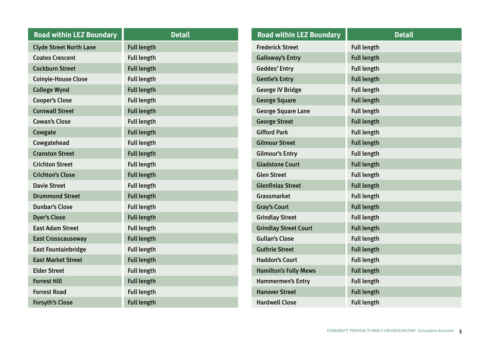| <b>Road within LEZ Boundary</b> | <b>Detail</b>      |
|---------------------------------|--------------------|
| <b>Clyde Street North Lane</b>  | <b>Full length</b> |
| <b>Coates Crescent</b>          | <b>Full length</b> |
| <b>Cockburn Street</b>          | <b>Full length</b> |
| <b>Coinyie-House Close</b>      | <b>Full length</b> |
| <b>College Wynd</b>             | <b>Full length</b> |
| <b>Cooper's Close</b>           | <b>Full length</b> |
| <b>Cornwall Street</b>          | <b>Full length</b> |
| <b>Cowan's Close</b>            | <b>Full length</b> |
| Cowgate                         | <b>Full length</b> |
| Cowgatehead                     | <b>Full length</b> |
| <b>Cranston Street</b>          | <b>Full length</b> |
| <b>Crichton Street</b>          | <b>Full length</b> |
| <b>Crichton's Close</b>         | <b>Full length</b> |
| <b>Davie Street</b>             | <b>Full length</b> |
| <b>Drummond Street</b>          | <b>Full length</b> |
| <b>Dunbar's Close</b>           | <b>Full length</b> |
| <b>Dyer's Close</b>             | <b>Full length</b> |
| <b>East Adam Street</b>         | <b>Full length</b> |
| <b>East Crosscauseway</b>       | <b>Full length</b> |
| <b>East Fountainbridge</b>      | <b>Full length</b> |
| <b>East Market Street</b>       | <b>Full length</b> |
| <b>Elder Street</b>             | <b>Full length</b> |
| <b>Forrest Hill</b>             | <b>Full length</b> |
| <b>Forrest Road</b>             | <b>Full length</b> |
| <b>Forsyth's Close</b>          | <b>Full length</b> |

| <b>Road within LEZ Boundary</b> | <b>Detail</b>      |
|---------------------------------|--------------------|
| <b>Frederick Street</b>         | <b>Full length</b> |
| <b>Galloway's Entry</b>         | <b>Full length</b> |
| <b>Geddes' Entry</b>            | <b>Full length</b> |
| <b>Gentle's Entry</b>           | <b>Full length</b> |
| <b>George IV Bridge</b>         | <b>Full length</b> |
| <b>George Square</b>            | <b>Full length</b> |
| <b>George Square Lane</b>       | <b>Full length</b> |
| <b>George Street</b>            | <b>Full length</b> |
| <b>Gifford Park</b>             | <b>Full length</b> |
| <b>Gilmour Street</b>           | <b>Full length</b> |
| <b>Gilmour's Entry</b>          | <b>Full length</b> |
| <b>Gladstone Court</b>          | <b>Full length</b> |
| <b>Glen Street</b>              | <b>Full length</b> |
| <b>Glenfinlas Street</b>        | <b>Full length</b> |
| <b>Grassmarket</b>              | <b>Full length</b> |
| <b>Gray's Court</b>             | <b>Full length</b> |
| <b>Grindlay Street</b>          | <b>Full length</b> |
| <b>Grindlay Street Court</b>    | <b>Full length</b> |
| <b>Gullan's Close</b>           | <b>Full length</b> |
| <b>Guthrie Street</b>           | <b>Full length</b> |
| <b>Haddon's Court</b>           | <b>Full length</b> |
| <b>Hamilton's Folly Mews</b>    | <b>Full length</b> |
| <b>Hammermen's Entry</b>        | <b>Full length</b> |
| <b>Hanover Street</b>           | <b>Full length</b> |
| <b>Hardwell Close</b>           | <b>Full length</b> |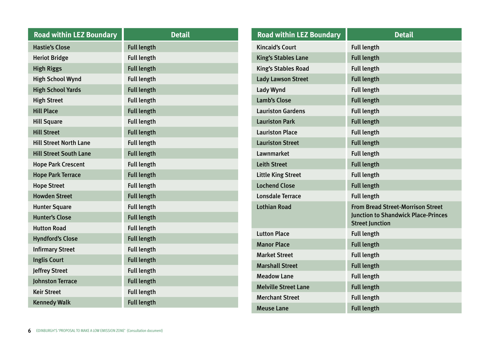| <b>Road within LEZ Boundary</b> | <b>Detail</b>      |
|---------------------------------|--------------------|
| <b>Hastie's Close</b>           | <b>Full length</b> |
| <b>Heriot Bridge</b>            | <b>Full length</b> |
| <b>High Riggs</b>               | <b>Full length</b> |
| <b>High School Wynd</b>         | <b>Full length</b> |
| <b>High School Yards</b>        | <b>Full length</b> |
| <b>High Street</b>              | <b>Full length</b> |
| <b>Hill Place</b>               | <b>Full length</b> |
| <b>Hill Square</b>              | <b>Full length</b> |
| <b>Hill Street</b>              | <b>Full length</b> |
| <b>Hill Street North Lane</b>   | <b>Full length</b> |
| <b>Hill Street South Lane</b>   | <b>Full length</b> |
| <b>Hope Park Crescent</b>       | <b>Full length</b> |
| <b>Hope Park Terrace</b>        | <b>Full length</b> |
| <b>Hope Street</b>              | <b>Full length</b> |
| <b>Howden Street</b>            | <b>Full length</b> |
| <b>Hunter Square</b>            | <b>Full length</b> |
| <b>Hunter's Close</b>           | <b>Full length</b> |
| <b>Hutton Road</b>              | <b>Full length</b> |
| <b>Hyndford's Close</b>         | <b>Full length</b> |
| <b>Infirmary Street</b>         | <b>Full length</b> |
| <b>Inglis Court</b>             | <b>Full length</b> |
| Jeffrey Street                  | <b>Full length</b> |
| <b>Johnston Terrace</b>         | <b>Full length</b> |
| <b>Keir Street</b>              | <b>Full length</b> |
| <b>Kennedy Walk</b>             | <b>Full length</b> |

| <b>Road within LEZ Boundary</b> | <b>Detail</b>                                                                                                    |
|---------------------------------|------------------------------------------------------------------------------------------------------------------|
| <b>Kincaid's Court</b>          | <b>Full length</b>                                                                                               |
| <b>King's Stables Lane</b>      | <b>Full length</b>                                                                                               |
| <b>King's Stables Road</b>      | <b>Full length</b>                                                                                               |
| <b>Lady Lawson Street</b>       | <b>Full length</b>                                                                                               |
| <b>Lady Wynd</b>                | <b>Full length</b>                                                                                               |
| <b>Lamb's Close</b>             | <b>Full length</b>                                                                                               |
| <b>Lauriston Gardens</b>        | <b>Full length</b>                                                                                               |
| <b>Lauriston Park</b>           | <b>Full length</b>                                                                                               |
| <b>Lauriston Place</b>          | <b>Full length</b>                                                                                               |
| <b>Lauriston Street</b>         | <b>Full length</b>                                                                                               |
| Lawnmarket                      | <b>Full length</b>                                                                                               |
| <b>Leith Street</b>             | <b>Full length</b>                                                                                               |
| <b>Little King Street</b>       | <b>Full length</b>                                                                                               |
| <b>Lochend Close</b>            | <b>Full length</b>                                                                                               |
| <b>Lonsdale Terrace</b>         | <b>Full length</b>                                                                                               |
| <b>Lothian Road</b>             | <b>From Bread Street-Morrison Street</b><br><b>Junction to Shandwick Place-Princes</b><br><b>Street Junction</b> |
| <b>Lutton Place</b>             | <b>Full length</b>                                                                                               |
| <b>Manor Place</b>              | <b>Full length</b>                                                                                               |
| <b>Market Street</b>            | <b>Full length</b>                                                                                               |
| <b>Marshall Street</b>          | <b>Full length</b>                                                                                               |
| <b>Meadow Lane</b>              | <b>Full length</b>                                                                                               |
| <b>Melville Street Lane</b>     | <b>Full length</b>                                                                                               |
| <b>Merchant Street</b>          | <b>Full length</b>                                                                                               |
| <b>Meuse Lane</b>               | <b>Full length</b>                                                                                               |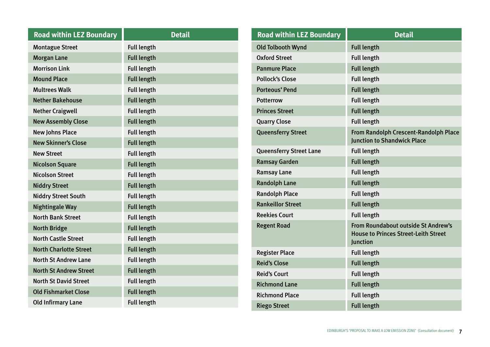| <b>Road within LEZ Boundary</b> | <b>Detail</b>      |
|---------------------------------|--------------------|
| <b>Montague Street</b>          | <b>Full length</b> |
| <b>Morgan Lane</b>              | <b>Full length</b> |
| <b>Morrison Link</b>            | <b>Full length</b> |
| <b>Mound Place</b>              | <b>Full length</b> |
| <b>Multrees Walk</b>            | <b>Full length</b> |
| <b>Nether Bakehouse</b>         | <b>Full length</b> |
| <b>Nether Craigwell</b>         | <b>Full length</b> |
| <b>New Assembly Close</b>       | <b>Full length</b> |
| <b>New Johns Place</b>          | <b>Full length</b> |
| <b>New Skinner's Close</b>      | <b>Full length</b> |
| <b>New Street</b>               | <b>Full length</b> |
| <b>Nicolson Square</b>          | <b>Full length</b> |
| <b>Nicolson Street</b>          | <b>Full length</b> |
| <b>Niddry Street</b>            | <b>Full length</b> |
| <b>Niddry Street South</b>      | <b>Full length</b> |
| <b>Nightingale Way</b>          | <b>Full length</b> |
| <b>North Bank Street</b>        | <b>Full length</b> |
| <b>North Bridge</b>             | <b>Full length</b> |
| <b>North Castle Street</b>      | <b>Full length</b> |
| <b>North Charlotte Street</b>   | <b>Full length</b> |
| <b>North St Andrew Lane</b>     | <b>Full length</b> |
| <b>North St Andrew Street</b>   | <b>Full length</b> |
| <b>North St David Street</b>    | <b>Full length</b> |
| <b>Old Fishmarket Close</b>     | <b>Full length</b> |
| <b>Old Infirmary Lane</b>       | <b>Full length</b> |

| <b>Road within LEZ Boundary</b> | <b>Detail</b>                                                                                  |
|---------------------------------|------------------------------------------------------------------------------------------------|
| <b>Old Tolbooth Wynd</b>        | <b>Full length</b>                                                                             |
| <b>Oxford Street</b>            | <b>Full length</b>                                                                             |
| <b>Panmure Place</b>            | <b>Full length</b>                                                                             |
| <b>Pollock's Close</b>          | <b>Full length</b>                                                                             |
| <b>Porteous' Pend</b>           | <b>Full length</b>                                                                             |
| <b>Potterrow</b>                | <b>Full length</b>                                                                             |
| <b>Princes Street</b>           | <b>Full length</b>                                                                             |
| <b>Quarry Close</b>             | <b>Full length</b>                                                                             |
| <b>Queensferry Street</b>       | From Randolph Crescent-Randolph Place<br><b>Junction to Shandwick Place</b>                    |
| <b>Queensferry Street Lane</b>  | <b>Full length</b>                                                                             |
| <b>Ramsay Garden</b>            | <b>Full length</b>                                                                             |
| <b>Ramsay Lane</b>              | <b>Full length</b>                                                                             |
| <b>Randolph Lane</b>            | <b>Full length</b>                                                                             |
| <b>Randolph Place</b>           | <b>Full length</b>                                                                             |
| <b>Rankeillor Street</b>        | <b>Full length</b>                                                                             |
| <b>Reekies Court</b>            | <b>Full length</b>                                                                             |
| <b>Regent Road</b>              | From Roundabout outside St Andrew's<br><b>House to Princes Street-Leith Street</b><br>Junction |
| <b>Register Place</b>           | <b>Full length</b>                                                                             |
| <b>Reid's Close</b>             | <b>Full length</b>                                                                             |
| <b>Reid's Court</b>             | <b>Full length</b>                                                                             |
| <b>Richmond Lane</b>            | <b>Full length</b>                                                                             |
| <b>Richmond Place</b>           | <b>Full length</b>                                                                             |
| <b>Riego Street</b>             | <b>Full length</b>                                                                             |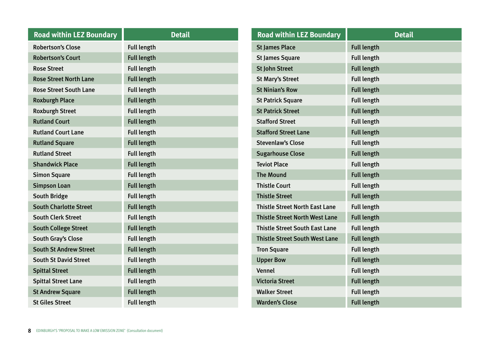| <b>Road within LEZ Boundary</b> | <b>Detail</b>      |
|---------------------------------|--------------------|
| <b>Robertson's Close</b>        | <b>Full length</b> |
| <b>Robertson's Court</b>        | <b>Full length</b> |
| <b>Rose Street</b>              | <b>Full length</b> |
| <b>Rose Street North Lane</b>   | <b>Full length</b> |
| <b>Rose Street South Lane</b>   | <b>Full length</b> |
| <b>Roxburgh Place</b>           | <b>Full length</b> |
| <b>Roxburgh Street</b>          | <b>Full length</b> |
| <b>Rutland Court</b>            | <b>Full length</b> |
| <b>Rutland Court Lane</b>       | <b>Full length</b> |
| <b>Rutland Square</b>           | <b>Full length</b> |
| <b>Rutland Street</b>           | <b>Full length</b> |
| <b>Shandwick Place</b>          | <b>Full length</b> |
| <b>Simon Square</b>             | <b>Full length</b> |
| <b>Simpson Loan</b>             | <b>Full length</b> |
| <b>South Bridge</b>             | <b>Full length</b> |
| <b>South Charlotte Street</b>   | <b>Full length</b> |
| <b>South Clerk Street</b>       | <b>Full length</b> |
| <b>South College Street</b>     | <b>Full length</b> |
| South Gray's Close              | <b>Full length</b> |
| <b>South St Andrew Street</b>   | <b>Full length</b> |
| <b>South St David Street</b>    | <b>Full length</b> |
| <b>Spittal Street</b>           | <b>Full length</b> |
| <b>Spittal Street Lane</b>      | <b>Full length</b> |
| <b>St Andrew Square</b>         | <b>Full length</b> |
| <b>St Giles Street</b>          | <b>Full length</b> |

| <b>Road within LEZ Boundary</b>       | <b>Detail</b>      |
|---------------------------------------|--------------------|
| <b>St James Place</b>                 | <b>Full length</b> |
| <b>St James Square</b>                | <b>Full length</b> |
| <b>St John Street</b>                 | <b>Full length</b> |
| <b>St Mary's Street</b>               | <b>Full length</b> |
| <b>St Ninian's Row</b>                | <b>Full length</b> |
| <b>St Patrick Square</b>              | <b>Full length</b> |
| <b>St Patrick Street</b>              | <b>Full length</b> |
| <b>Stafford Street</b>                | <b>Full length</b> |
| <b>Stafford Street Lane</b>           | <b>Full length</b> |
| <b>Stevenlaw's Close</b>              | <b>Full length</b> |
| <b>Sugarhouse Close</b>               | <b>Full length</b> |
| <b>Teviot Place</b>                   | <b>Full length</b> |
| <b>The Mound</b>                      | <b>Full length</b> |
| <b>Thistle Court</b>                  | <b>Full length</b> |
| <b>Thistle Street</b>                 | <b>Full length</b> |
| <b>Thistle Street North East Lane</b> | <b>Full length</b> |
| <b>Thistle Street North West Lane</b> | <b>Full length</b> |
| <b>Thistle Street South East Lane</b> | <b>Full length</b> |
| <b>Thistle Street South West Lane</b> | <b>Full length</b> |
| <b>Tron Square</b>                    | <b>Full length</b> |
| <b>Upper Bow</b>                      | <b>Full length</b> |
| Vennel                                | <b>Full length</b> |
| <b>Victoria Street</b>                | <b>Full length</b> |
| <b>Walker Street</b>                  | <b>Full length</b> |
| <b>Warden's Close</b>                 | <b>Full length</b> |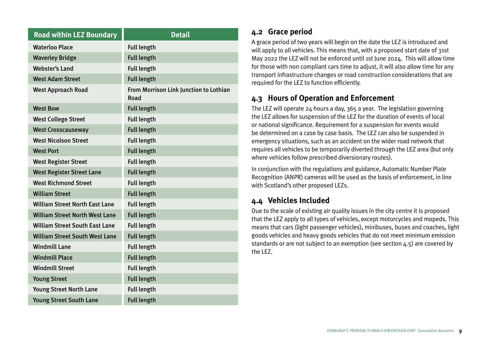<span id="page-10-0"></span>

| <b>Road within LEZ Boundary</b>       | <b>Detail</b>                                  |
|---------------------------------------|------------------------------------------------|
| <b>Waterloo Place</b>                 | <b>Full length</b>                             |
| <b>Waverley Bridge</b>                | <b>Full length</b>                             |
| <b>Webster's Land</b>                 | <b>Full length</b>                             |
| <b>West Adam Street</b>               | <b>Full length</b>                             |
| <b>West Approach Road</b>             | From Morrison Link Junction to Lothian<br>Road |
| <b>West Bow</b>                       | <b>Full length</b>                             |
| <b>West College Street</b>            | <b>Full length</b>                             |
| <b>West Crosscauseway</b>             | <b>Full length</b>                             |
| <b>West Nicolson Street</b>           | <b>Full length</b>                             |
| <b>West Port</b>                      | <b>Full length</b>                             |
| <b>West Register Street</b>           | <b>Full length</b>                             |
| <b>West Register Street Lane</b>      | <b>Full length</b>                             |
| <b>West Richmond Street</b>           | <b>Full length</b>                             |
| <b>William Street</b>                 | <b>Full length</b>                             |
| <b>William Street North East Lane</b> | <b>Full length</b>                             |
| <b>William Street North West Lane</b> | <b>Full length</b>                             |
| <b>William Street South East Lane</b> | <b>Full length</b>                             |
| <b>William Street South West Lane</b> | <b>Full length</b>                             |
| <b>Windmill Lane</b>                  | <b>Full length</b>                             |
| <b>Windmill Place</b>                 | <b>Full length</b>                             |
| <b>Windmill Street</b>                | <b>Full length</b>                             |
| <b>Young Street</b>                   | <b>Full length</b>                             |
| <b>Young Street North Lane</b>        | <b>Full length</b>                             |
| <b>Young Street South Lane</b>        | <b>Full length</b>                             |

## **4.2 Grace period**

A grace period of two years will begin on the date the LEZ is introduced and will apply to all vehicles. This means that, with a proposed start date of 31st May 2022 the LEZ will not be enforced until 1st June 2024. This will allow time for those with non compliant cars time to adjust, it will also allow time for any transport infrastructure changes or road construction considerations that are required for the LEZ to function efficiently.

## **4.3 Hours of Operation and Enforcement**

The LEZ will operate 24 hours a day, 365 a year. The legislation governing the LEZ allows for suspension of the LEZ for the duration of events of local or national significance. Requirement for a suspension for events would be determined on a case by case basis. The LEZ can also be suspended in emergency situations, such as an accident on the wider road network that requires all vehicles to be temporarily diverted through the LEZ area (but only where vehicles follow prescribed diversionary routes).

In conjunction with the regulations and guidance, Automatic Number Plate Recognition (ANPR) cameras will be used as the basis of enforcement, in line with Scotland's other proposed LEZs.

## **4.4 Vehicles Included**

Due to the scale of existing air quality issues in the city centre it is proposed that the LEZ apply to all types of vehicles, except motorcycles and mopeds. This means that cars (light passenger vehicles), minibuses, buses and coaches, light goods vehicles and heavy goods vehicles that do not meet minimum emission standards or are not subject to an exemption (see section 4.5) are covered by the LEZ.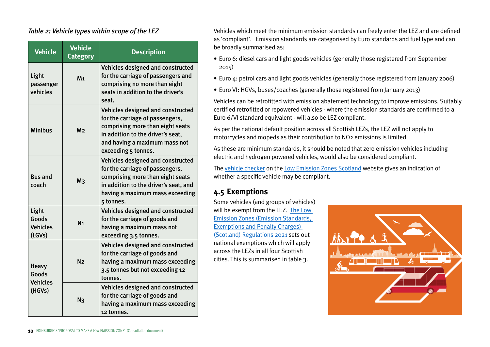#### <span id="page-11-0"></span>*Table 2: Vehicle types within scope of the LEZ*

| <b>Vehicle</b>                                     | <b>Vehicle</b><br><b>Category</b> | <b>Description</b>                                                                                                                                                                                    |  |  |  |
|----------------------------------------------------|-----------------------------------|-------------------------------------------------------------------------------------------------------------------------------------------------------------------------------------------------------|--|--|--|
| Light<br>passenger<br>vehicles                     | M <sub>1</sub>                    | Vehicles designed and constructed<br>for the carriage of passengers and<br>comprising no more than eight<br>seats in addition to the driver's<br>seat.                                                |  |  |  |
| <b>Minibus</b>                                     | M <sub>2</sub>                    | Vehicles designed and constructed<br>for the carriage of passengers,<br>comprising more than eight seats<br>in addition to the driver's seat,<br>and having a maximum mass not<br>exceeding 5 tonnes. |  |  |  |
| <b>Bus and</b><br>coach                            | M <sub>3</sub>                    | Vehicles designed and constructed<br>for the carriage of passengers,<br>comprising more than eight seats<br>in addition to the driver's seat, and<br>having a maximum mass exceeding<br>5 tonnes.     |  |  |  |
| Light<br>Goods<br><b>Vehicles</b><br>(LGVs)        | N <sub>1</sub>                    | Vehicles designed and constructed<br>for the carriage of goods and<br>having a maximum mass not<br>exceeding 3.5 tonnes.                                                                              |  |  |  |
| <b>Heavy</b><br>Goods<br><b>Vehicles</b><br>(HGVs) | N <sub>2</sub>                    | Vehicles designed and constructed<br>for the carriage of goods and<br>having a maximum mass exceeding<br>3.5 tonnes but not exceeding 12<br>tonnes.                                                   |  |  |  |
|                                                    | N <sub>3</sub>                    | Vehicles designed and constructed<br>for the carriage of goods and<br>having a maximum mass exceeding<br>12 tonnes.                                                                                   |  |  |  |

Vehicles which meet the minimum emission standards can freely enter the LEZ and are defined as 'compliant'. Emission standards are categorised by Euro standards and fuel type and can be broadly summarised as:

- Euro 6: diesel cars and light goods vehicles (generally those registered from September 2015)
- Euro 4: petrol cars and light goods vehicles (generally those registered from January 2006)
- Euro VI: HGVs, buses/coaches (generally those registered from January 2013)

Vehicles can be retrofitted with emission abatement technology to improve emissions. Suitably certified retrofitted or repowered vehicles - where the emission standards are confirmed to a Euro 6/VI standard equivalent - will also be LEZ compliant.

As per the national default position across all Scottish LEZs, the LEZ will not apply to motorcycles and mopeds as their contribution to NO2 emissions is limited.

As these are minimum standards, it should be noted that zero emission vehicles including electric and hydrogen powered vehicles, would also be considered compliant.

The [vehicle checker](https://www.lowemissionzones.scot/get-ready/vehicle-registration-checker) on the [Low Emission Zones Scotland](https://www.lowemissionzones.scot/) website gives an indication of whether a specific vehicle may be compliant.

## **4.5 Exemptions**

Some vehicles (and groups of vehicles) will be exempt from the LEZ. [The Low](https://www.legislation.gov.uk/ssi/2021/177/contents/made)  [Emission Zones \(Emission Standards,](https://www.legislation.gov.uk/ssi/2021/177/contents/made)  [Exemptions and Penalty Charges\)](https://www.legislation.gov.uk/ssi/2021/177/contents/made)  [\(Scotland\) Regulations 2021](https://www.legislation.gov.uk/ssi/2021/177/contents/made) sets out national exemptions which will apply across the LEZs in all four Scottish cities. This is summarised in table 3.

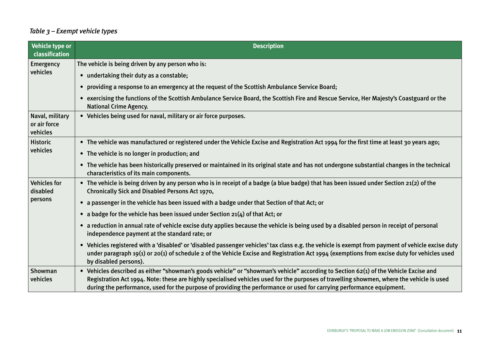## <span id="page-12-0"></span> *Table 3 – Exempt vehicle types*

| <b>Vehicle type or</b><br>classification    | <b>Description</b>                                                                                                                                                                                                                                                                                                                         |  |  |  |  |  |
|---------------------------------------------|--------------------------------------------------------------------------------------------------------------------------------------------------------------------------------------------------------------------------------------------------------------------------------------------------------------------------------------------|--|--|--|--|--|
| Emergency<br>vehicles                       | The vehicle is being driven by any person who is:                                                                                                                                                                                                                                                                                          |  |  |  |  |  |
|                                             | • undertaking their duty as a constable;                                                                                                                                                                                                                                                                                                   |  |  |  |  |  |
|                                             | providing a response to an emergency at the request of the Scottish Ambulance Service Board;<br>$\bullet$                                                                                                                                                                                                                                  |  |  |  |  |  |
|                                             | exercising the functions of the Scottish Ambulance Service Board, the Scottish Fire and Rescue Service, Her Majesty's Coastguard or the<br>$\bullet$<br><b>National Crime Agency.</b>                                                                                                                                                      |  |  |  |  |  |
| Naval, military<br>or air force<br>vehicles | • Vehicles being used for naval, military or air force purposes.                                                                                                                                                                                                                                                                           |  |  |  |  |  |
| <b>Historic</b><br>vehicles                 | • The vehicle was manufactured or registered under the Vehicle Excise and Registration Act 1994 for the first time at least 30 years ago;                                                                                                                                                                                                  |  |  |  |  |  |
|                                             | The vehicle is no longer in production; and<br>$\bullet$                                                                                                                                                                                                                                                                                   |  |  |  |  |  |
|                                             | • The vehicle has been historically preserved or maintained in its original state and has not undergone substantial changes in the technical<br>characteristics of its main components.                                                                                                                                                    |  |  |  |  |  |
| <b>Vehicles for</b><br>disabled<br>persons  | • The vehicle is being driven by any person who is in receipt of a badge (a blue badge) that has been issued under Section 21(2) of the<br><b>Chronically Sick and Disabled Persons Act 1970,</b>                                                                                                                                          |  |  |  |  |  |
|                                             | a passenger in the vehicle has been issued with a badge under that Section of that Act; or<br>$\bullet$                                                                                                                                                                                                                                    |  |  |  |  |  |
|                                             | a badge for the vehicle has been issued under Section $21(4)$ of that Act; or<br>$\bullet$                                                                                                                                                                                                                                                 |  |  |  |  |  |
|                                             | a reduction in annual rate of vehicle excise duty applies because the vehicle is being used by a disabled person in receipt of personal<br>$\bullet$<br>independence payment at the standard rate; or                                                                                                                                      |  |  |  |  |  |
|                                             | Vehicles registered with a 'disabled' or 'disabled passenger vehicles' tax class e.g. the vehicle is exempt from payment of vehicle excise duty<br>$\bullet$<br>under paragraph $19(1)$ or $20(1)$ of schedule 2 of the Vehicle Excise and Registration Act $1994$ (exemptions from excise duty for vehicles used<br>by disabled persons). |  |  |  |  |  |
| Showman                                     | • Vehicles described as either "showman's goods vehicle" or "showman's vehicle" according to Section 62(1) of the Vehicle Excise and                                                                                                                                                                                                       |  |  |  |  |  |
| vehicles                                    | Registration Act 1994. Note: these are highly specialised vehicles used for the purposes of travelling showmen, where the vehicle is used<br>during the performance, used for the purpose of providing the performance or used for carrying performance equipment.                                                                         |  |  |  |  |  |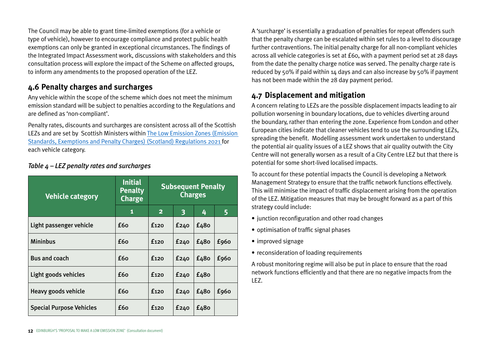<span id="page-13-0"></span>The Council may be able to grant time-limited exemptions (for a vehicle or type of vehicle), however to encourage compliance and protect public health exemptions can only be granted in exceptional circumstances. The findings of the Integrated Impact Assessment work, discussions with stakeholders and this consultation process will explore the impact of the Scheme on affected groups, to inform any amendments to the proposed operation of the LEZ.

## **4.6 Penalty charges and surcharges**

Any vehicle within the scope of the scheme which does not meet the minimum emission standard will be subject to penalties according to the Regulations and are defined as 'non-compliant'.

Penalty rates, discounts and surcharges are consistent across all of the Scottish LEZs and are set by Scottish Ministers within [The Low Emission Zones \(Emission](https://www.legislation.gov.uk/ssi/2021/177/contents/made)  [Standards, Exemptions and Penalty Charges\) \(Scotland\) Regulations 2021](https://www.legislation.gov.uk/ssi/2021/177/contents/made) for each vehicle category.

| <b>Vehicle category</b>         | <b>Initial</b><br><b>Penalty</b><br><b>Charge</b> | <b>Subsequent Penalty</b><br><b>Charges</b> |      |      |      |
|---------------------------------|---------------------------------------------------|---------------------------------------------|------|------|------|
|                                 | 1                                                 | $\mathbf{2}$                                | 3    | 4    | 5    |
| Light passenger vehicle         | £60                                               | f <sub>120</sub>                            | £240 | £480 |      |
| <b>Mininbus</b>                 | £60                                               | f <sub>120</sub>                            | E240 | £480 | £960 |
| <b>Bus and coach</b>            | £60                                               | £120                                        | E240 | £480 | £960 |
| Light goods vehicles            | £60                                               | £120                                        | £240 | £480 |      |
| Heavy goods vehicle             | £60                                               | £120                                        | £240 | £480 | £960 |
| <b>Special Purpose Vehicles</b> | £60                                               | f <sub>120</sub>                            | E240 | £480 |      |

#### *Table 4 – LEZ penalty rates and surcharges*

A 'surcharge' is essentially a graduation of penalties for repeat offenders such that the penalty charge can be escalated within set rules to a level to discourage further contraventions. The initial penalty charge for all non-compliant vehicles across all vehicle categories is set at £60, with a payment period set at 28 days from the date the penalty charge notice was served. The penalty charge rate is reduced by 50% if paid within 14 days and can also increase by 50% if payment has not been made within the 28 day payment period.

## **4.7 Displacement and mitigation**

A concern relating to LEZs are the possible displacement impacts leading to air pollution worsening in boundary locations, due to vehicles diverting around the boundary, rather than entering the zone. Experience from London and other European cities indicate that cleaner vehicles tend to use the surrounding LEZs, spreading the benefit. Modelling assessment work undertaken to understand the potential air quality issues of a LEZ shows that air quality outwith the City Centre will not generally worsen as a result of a City Centre LEZ but that there is potential for some short-lived localised impacts.

To account for these potential impacts the Council is developing a Network Management Strategy to ensure that the traffic network functions effectively. This will minimise the impact of traffic displacement arising from the operation of the LEZ. Mitigation measures that may be brought forward as a part of this strategy could include:

- junction reconfiguration and other road changes
- optimisation of traffic signal phases
- improved signage
- reconsideration of loading requirements

A robust monitoring regime will also be put in place to ensure that the road network functions efficiently and that there are no negative impacts from the LEZ.